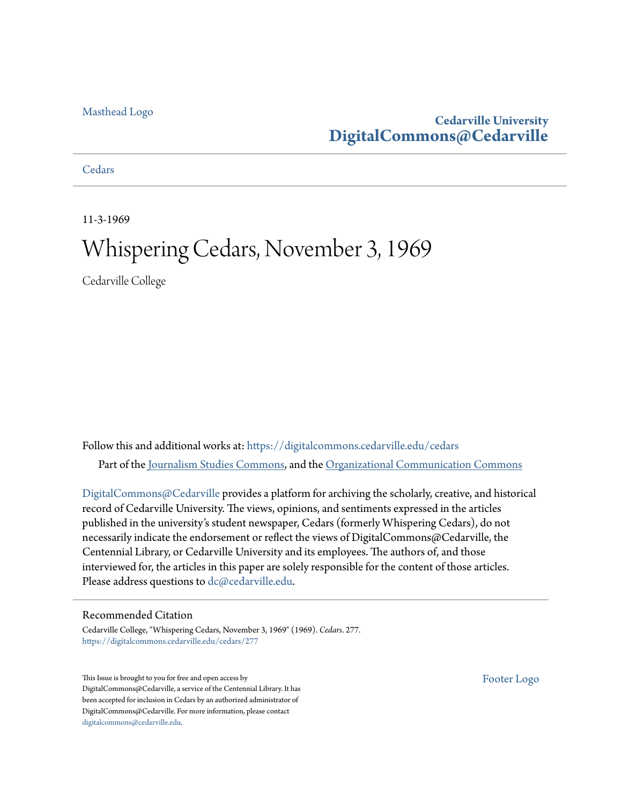### [Masthead Logo](http://www.cedarville.edu/?utm_source=digitalcommons.cedarville.edu%2Fcedars%2F277&utm_medium=PDF&utm_campaign=PDFCoverPages)

### **Cedarville University [DigitalCommons@Cedarville](https://digitalcommons.cedarville.edu?utm_source=digitalcommons.cedarville.edu%2Fcedars%2F277&utm_medium=PDF&utm_campaign=PDFCoverPages)**

### **[Cedars](https://digitalcommons.cedarville.edu/cedars?utm_source=digitalcommons.cedarville.edu%2Fcedars%2F277&utm_medium=PDF&utm_campaign=PDFCoverPages)**

11-3-1969

### Whispering Cedars, November 3, 1969

Cedarville College

Follow this and additional works at: [https://digitalcommons.cedarville.edu/cedars](https://digitalcommons.cedarville.edu/cedars?utm_source=digitalcommons.cedarville.edu%2Fcedars%2F277&utm_medium=PDF&utm_campaign=PDFCoverPages) Part of the [Journalism Studies Commons](http://network.bepress.com/hgg/discipline/333?utm_source=digitalcommons.cedarville.edu%2Fcedars%2F277&utm_medium=PDF&utm_campaign=PDFCoverPages), and the [Organizational Communication Commons](http://network.bepress.com/hgg/discipline/335?utm_source=digitalcommons.cedarville.edu%2Fcedars%2F277&utm_medium=PDF&utm_campaign=PDFCoverPages)

[DigitalCommons@Cedarville](http://digitalcommons.cedarville.edu/) provides a platform for archiving the scholarly, creative, and historical record of Cedarville University. The views, opinions, and sentiments expressed in the articles published in the university's student newspaper, Cedars (formerly Whispering Cedars), do not necessarily indicate the endorsement or reflect the views of DigitalCommons@Cedarville, the Centennial Library, or Cedarville University and its employees. The authors of, and those interviewed for, the articles in this paper are solely responsible for the content of those articles. Please address questions to [dc@cedarville.edu.](mailto:dc@cedarville.edu)

### Recommended Citation

Cedarville College, "Whispering Cedars, November 3, 1969" (1969). *Cedars*. 277. [https://digitalcommons.cedarville.edu/cedars/277](https://digitalcommons.cedarville.edu/cedars/277?utm_source=digitalcommons.cedarville.edu%2Fcedars%2F277&utm_medium=PDF&utm_campaign=PDFCoverPages)

This Issue is brought to you for free and open access by DigitalCommons@Cedarville, a service of the Centennial Library. It has been accepted for inclusion in Cedars by an authorized administrator of DigitalCommons@Cedarville. For more information, please contact [digitalcommons@cedarville.edu](mailto:digitalcommons@cedarville.edu).

[Footer Logo](http://www.cedarville.edu/Academics/Library.aspx?utm_source=digitalcommons.cedarville.edu%2Fcedars%2F277&utm_medium=PDF&utm_campaign=PDFCoverPages)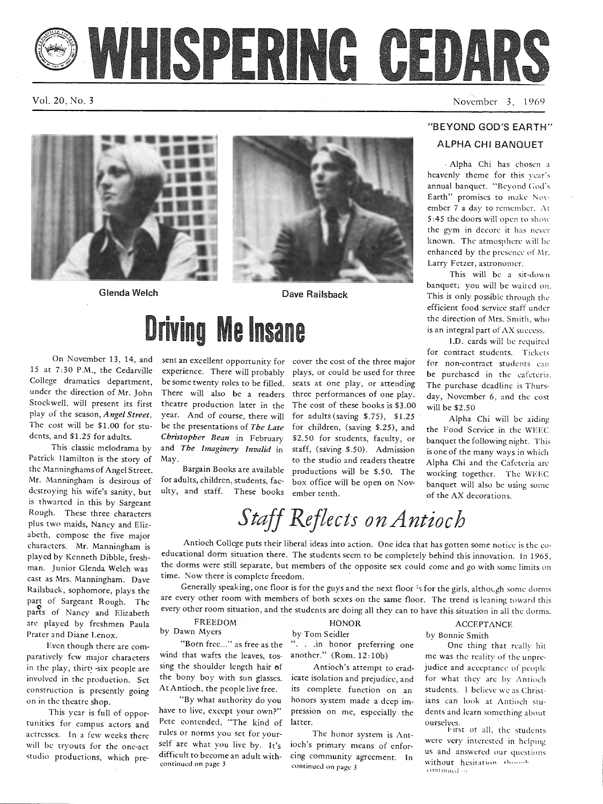# WHISPERING GEDARS

Vol. 20, No. 3

November 3, 1969





Glenda Welch Dave Railsback

### On November 13, 14, and 15 at 7:30 P.M., the Cedarville College dramatics department, under the direction of Mr. John Stockwell, will present its first play of the season, *Angel Street.*  The cost will be \$1.00 for students, and \$1.25 for adults.

This classic melodrama by Patrick IIamilton is the story of the Manninghams of Angel Street. Mr. Manningham is desirous of destroying his wife's sanity, but is thwarted in this by Sargeant Rough. These three characters plus two maids, Nancy and Elizabeth, compose the five major characters. Mr. Manningham is played by Kenneth Dibble, freshman. Junior Glenda Welch was cast as Mrs. Manningham. Dave Railsback, sophomore, plays the part of Sargeant Rough. The parts of Nancy and Elizabeth arc played by freshmen Paula Prater and Diane Lenox.

Even though there are comparatively few major characters in the play, thirty-six people are involved in the production. Set construction is presently going on in the theatre shop.

This year is full of opportunities for campus actors and actresses. In a few weeks there will be tryouts for the one-act studio productions, which pre-

# **Driving Me Insane**

sent an excellent opportunity for cover the cost of the three major experience. There will probably be some twenty roles to be filled. There will also be a readers three performances of one play. theatre production later in the year. And of course, there will be the presentations of *The Late Christopher Bean* in February and *The lmaginery Invalid* in May. Bargain Books are available

for adults, children, students, fac-

sent an excellent opportunity for cover the cost of the three major<br>experience. There will probably plays, or could be used for three be purchased in the cafeteria.<br>be some twenty roles to be filled, seats at one play, or

### "BEYOND GOD'S EARTH"

### ALPHA CHI BANQUET

. Alpha Chi has chosen a heavenly theme for this year's annual banquet. "Beyond Cod's Earth" promises to make November 7 a day to remember.  $\Lambda t$ 5:45 the doors will open to show the gym in dccorc it has never known. The atmosphere will be enhanced by the presence of Mr. Larry Fetzer, astronomer.

This will be a sit-down banquet; you will be waited on. This is only possible through the efficient food service staff under the direction of Mrs. Smith, who is an integral part of AX success.

l.D. cards will be required for contract students. Tickets for non-contract students can be purchased in the cafeteria. The purchase deadline is Thursday, November 6, and the cost will be \$2.50

### *Staff Reflects on Antioch*

Antioch College puts their liberal ideas into action. One idea that has gotten some notice is the co educational dorm situation there. The students seem to be completely behind this innovation. In 1965, the dorms were still separate, but members of the opposite sex could come and go with some limits on time. Now there is complete freedom.

Generally speaking, one floor is for the guys and the next floor 's for the girls, although some dorms are every other room with members of both sexes on the same floor. The trend is leaning toward this every other room situation, and the students are doing all they can to have this situation in all the dorms.

FREEDOM by Dawn Myers

"Born free..." as free as the wind that wafts the leaves, tos sing the shoulder length hair of the bony boy with sun glasses. At Antioch, the people live free.

"By what authority do you have to live, except your own?" Pete contended, "The kind of rules or norms you set for your· self arc what you live by. It's difficult to become an adult with-

FREEDOM HONOR ACCEPTANCE<br>by Dawn Mysrs<br>the Born free..." as free as the "... in hoor preferring one<br>wind that waffs the leaves, tos-<br>another." (Rom. 12:10b) me was the reality of the unpre-<br>sing the shoulder length hair of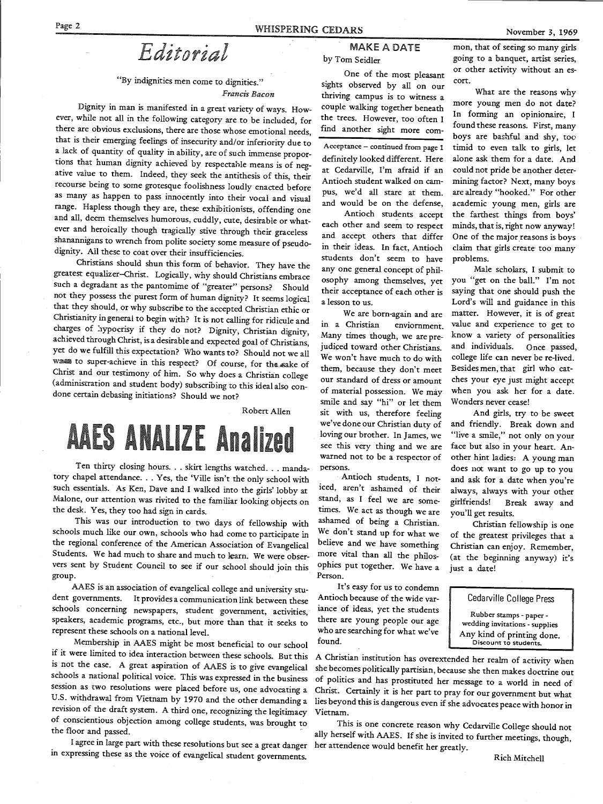*Editorial* 

### "By indignities men come to dignities." *Francis Bacon*

Dignity in man is manifested in a great variety of ways. However, while not all in the following category are to be included, for there are obvious exclusions, there are those whose emotional needs, that is their emerging feelings of insecurity and/or inferiority due to<br>a lack of quantity of quality in ability, are of such immense proportions that human dignity achieved by respectable means is of negative value to them. Indeed, they seek the antithesis of this, their recourse being to some grotesque foolishness loudly enacted before as many as happen to pass innocently into their vocal and visual range. Hapless though they are, these exhibitionists, offending one and all, deem themselves humorous, cuddly, cute, desirable or what-<br>ever and heroically though tragically stive through their graceless shanannigans to wrench from polite society some measure of pseudo-<br>dignity. All these to coat over their insufficiencies.

Christians should shun this form of behavior. They have the greatest equalizer-Christ. Logically, why should Christians embrace such a degradant as the pantomime of "greater" persons? Should not they possess the purest form of human dignity? It seems logical that they should, or why subscribe to the accepted Christian ethic or Christianity in general to begin with? It is not calling for ridicule and charges of *I*ndepreral to begin with charges of *I*ndeprese of *Lypocrisy* if they do not? Dignity, Christian dignity, achieved through Christ, is a desirable and expected goal of Christians, yet do we fulfill this expectation? Who wants to? Should not we all was to super-achieve in this respect? Of course, for the sake of Christ and our testimony of him. So why does a Christian college (administration and student body) subscribing to this ideal also condone certain debasing initiations? Should we not?

### Robert Allen

## **AAES ANALIZE Analized**

Ten thirty closing hours. . . skirt lengths watched. . . mandatory chapel attendance. . . Yes, the 'Ville isn't the only school with such essentials. As Ken, Dave and I walked into the girls' lobby at Malone, our attention was rivited to the familiar looking objects on the desk. Yes, they too had sign in cards.

This was our introduction to two days of fellowship with<br>schools much like our own, schools who had come to participate in<br>the regional conference of the American Association of Evangelical<br>Students. We had much to share a vers sent by Student Council to see if our school should join this group.

AAES is an association of evangelical college and university stu-<br>dent governments. It provides a communication link between these schools concerning newspapers, student government, activities, speakers, academic programs, etc., but more than that it seeks to represent these schools on a national level.

Membership in AAES might be most beneficial to our school if it were limited to idea interaction between these schools. But this is not the case. A great aspiration of AAES is to give evangelical schools a national political voice. This was expressed in the business session as two resolutions were placed before us, one advocating a U.S. withdrawal from Vietnam by 1970 and the other demanding a revision of the draft system. A third one, recognizing the legitimacy of conscientious objection among college students, was brought to the floor and passed.

I agree in large part with these resolutions but see a great danger in expressing these as the voice of evangelical student governments.

### MAKE A DATE by Tom Seidler

One of the most pleasant sights observed by all on our thriving campus is to witness a couple walking together beneath the trees. However, too often I find another sight more com-

Acceptance - continued from page <sup>1</sup> definitely looked different. Here at Cedarville, I'm afraid if an Antioch student walked on campus, we'd all stare at them. and would be on the defense,

Antioch students accept each other and seem to respect and accept others that differ in their ideas. In fact, Antioch students don't seem to have any one general concept of philosophy among themselves, yet their acceptance of each other is a lesson to us.

We are born-again and are in a Christian enviornment. Many times though, we are prejudiced toward other Christians. We won't have much to do with them, because they don't meet our standard of dress or amount of material possession. We may smile and say "hi" or let them sit with us, therefore feeling we've done our Christian duty of loving our brother. In James, we see this very thing and we are warned not to be a respector of persons.

Antioch students, I noticed, aren't ashamed of their stand, as I feel we are sometimes. We act as though we are ashamed of being a Christian. We don't stand up for what we believe and we have something more vital than all the philosophies put together. We have a Person.

It's easy for us to condemn Antioch because of the wide variance of ideas, yet the students there are young people our age who are searching for what we've found.

A Christian institution has overextended her realm of activity when she becomes politically partisian, because she then makes doctrine out of politics and has prostituted her message to a world in need of Christ. Certainly it is her part to pray for our government but what lies beyond this is dangerous even if she advocates peace with honor in Vietnam.

This is one concrete reason why Cedarville College should not ally herself with AAES. If she is invited to further meetings, though, her attendence would benefit her greatly.

mon, that of seeing so many girls going to a banquet, artist series, or other activity without an escort.

What are the reasons why more young men do not date? In forming an opinionaire, I found these reasons. First, many boys are bashful and shy, too timid to even talk to girls, let alone ask them for a date. And could not pride be another determining factor? Next, many boys are already "hooked." For other academic young men, girls are the farthest things from boys' minds, that is, right now anyway! One of the major reasons is boys claim that girls create too many problems.

Male scholars, I submit to you "get on the ball." I'm not saying that one should push the Lord's will and guidance in this matter. However, it is of great value and experience to get to know a variety of personalities and individuals. Once passed, college life can never be re-lived. Besides men, that girl who catches your eye just might accept when you ask her for a date. Wonders never cease!

And girls, try to be sweet and friendly. Break down and "live a smile," not only on your face but also in your heart. Another hint ladies: A young man does not want to go up to you and ask for a date when you're always, always with your other <sup>g</sup>irlfriends! Break away and you'll get results.

Christian fellowship is one of the greatest privileges that <sup>a</sup> Christian can enjoy. Remember, (at the beginning anyway) it's just a date!



Any kind of printing done. Discount to students.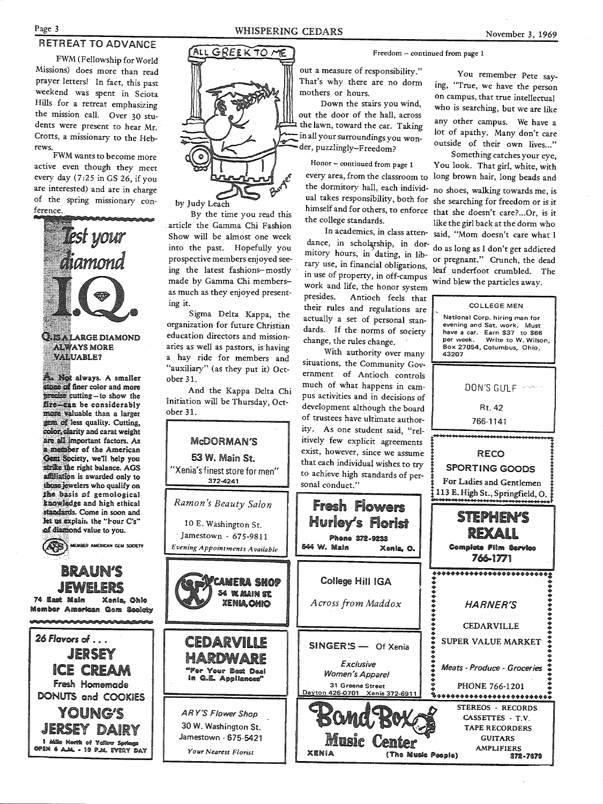### RETREAT TO ADVANCE

FWM (Fellowship for World Missions) does more than read prayer letters! In fact, this past weekend was spent in Sciota Hills for a retreat emphasizing the mission call. Over 30 students were present to hear Mr. Crotts, a missionary to the Hebrews.

FWM wants to become more active even though they meet every day (7:25 in GS 26, if you are interested) and are in charge of the spring missionary conference.



**YOUNG'S** 

JERSEY DAIRY

open 6 a.m. - 10 p.m. every day

1 AlBe Nevith of Yellow Spri

ALL GREEK TO ME

by Judy Leach

By the time you read this article the Gamma Chi Fashion Show will be almost one week into the past. Hopefully you prospective members enjoyed seeing the latest fashions-mostly made by Gamma Chi members-as much as they enjoyed present-

Sigma Delta Kappa, the organization for future Christian education directors and missionaries as well as pastors, is having a hay ride for members and "auxiliary" (as they put it) Oct-

And the Kappa Delta Chi Initiation will be Thursday, Oct-



**Your Nearest Florist** 

#### Freedom - continued from page 1

out a measure of responsibility." That's why there are no dorm mothers or hours.

Down the stairs you wind, out the door of the hall, across the lawn, toward the car. Taking in all your surroundings you wonder, puzzlingly-Freedom?

Honor - continued from page 1 every area, from the classroom to the dormitory hall, each individual takes responsibility, both for she searching for freedom or is it himself and for others, to enforce that she doesn't care?...Or, is it the college standards.

In academics, in class attendance, in scholarship, in dormitory hours, in dating, in library use, in financial obligations, in use of property, in off-campus work and life, the honor system presides. Antioch feels that their rules and regulations are actually a set of personal standards. If the norms of society change, the rules change.

With authority over many situations, the Community Government of Antioch controls much of what happens in campus activities and in decisions of development although the board of trustees have ultimate authority. As one student said, "relitively few explicit agreements exist, however, since we assume that each individual wishes to try to achieve high standards of personal conduct."

Phone 372-9233

Exclusive

Women's Apparel

31 Greene Street

Music

XENIA

You remember Pete saying, "True, we have the person on campus, that true intellectual who is searching, but we are like any other campus. We have a lot of apathy. Many don't care outside of their own lives..."

Something catches your eye, You look. That girl, white, with long brown hair, long beads and no shoes, walking towards me, is like the girl back at the dorm who said, "Mom doesn't care what I

do as long as I don't get addicted or pregnant." Crunch, the dead leaf underfoot crumbled. The wind blew the particles away.